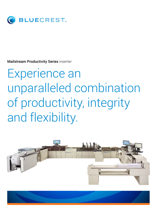

Mailstream Productivity Series inserter

# Experience an unparalleled combination of productivity, integrity and flexibility.



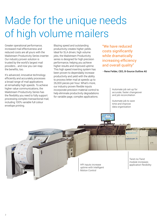## Made for the unique needs of high volume mailers

Greater operational performance, increased mail effectiveness and reduced costs are all yours with the Mailstream Productivity Series inserter. Our industry proven solution is trusted by the world's largest mail providers… and now you can reap the benefits, too.

It's advanced, innovative technology efficiently and accurately processes a broad range of mail applications at remarkably high speeds. To achieve higher value communications, the Mailstream Productivity Series has the flexibility you need to fully support processing complex transactional mail, including 100% variable full colour envelope printing.

Blazing speed and outstanding productivity creates higher yields. Ideal for SLA driven, high volume jobs, the Mailstream Productivity series is designed for high precision performance, helping you achieve higher results and improved uptime. This high speed inserting system has been proven to dependably increase productivity and yield with the ability to process letter mail at speeds up to 26,000 pieces per hour. What's more, our industry proven flexible inputs incorporate precision material control to help eliminate productivity degradations for variable page, complex applications.

"We have reduced costs significantly while dramatically increasing efficiency and overall quality"

#### —Rene Felder, CEO, B-Source Outline AG

Automate job set-up for accurate, faster changeover and job reconciliation

Automate job to save time and improve data organisation

**Inches** 

HPI inputs increase and application flexibility uptime with Intelligent Motion Control

Twist-no-Twist module increases

T<sub>E</sub>

mailstream 26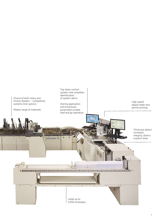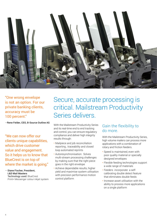

"One wrong envelope is not an option. For our private banking clients, accuracy must be 100 percent."

—Rene Felder, CEO, B-Source Outline AG

"We can now offer our clients unique capabilities, which drive customer value and engagement. So it helps us to know that BlueCrest is on top of where the market is going."

— Diane Fischer, President, L&D Mail Masters Technology used: BlueCrest Print+ Messenger colour inkjet system

### Secure, accurate processing is critical. Mailstream Productivity Series delivers.

With the Mailstream Productivity Series and its real-time end to end tracking and control, you can ensure regulatory compliance and deliver high integrity results through:

- Mailpiece and job reconciliation reporting , traceability and closed loop automated reprints
- Autoresynchronisation: Solves multi-stream processing challenges by making sure that the right piece goes in the right envelope
- Achieve dependable results, higher yield and maximise system utilisation with precision performance motion control platform

#### Gain the flexibility to do more.

With the Mailstream Productivity Series, high volume mailers can process more applications with a combination of rotary and friction feeders.

- Speed is maintained, even with poor quality material or specially designed envelopes
- Flexible feeding technologies support a wide range of materials
- Feeders incorporate a selfcalibrating double detect feature that eliminates double feeds
- Increase asset utilisation with the ability to process more applications on a single platform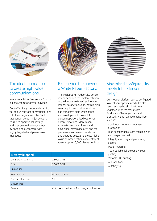

#### The ideal foundation to create high value communications. 65% • Intelligent print transport: Provide ente ideal foundatio to create high value  $\frac{1}{\sqrt{1-\frac{1}{\sqrt{1-\frac{1}{\sqrt{1-\frac{1}{\sqrt{1-\frac{1}{\sqrt{1-\frac{1}{\sqrt{1-\frac{1}{\sqrt{1-\frac{1}{\sqrt{1-\frac{1}{\sqrt{1-\frac{1}{\sqrt{1-\frac{1}{\sqrt{1-\frac{1}{\sqrt{1-\frac{1}{\sqrt{1-\frac{1}{\sqrt{1-\frac{1}{\sqrt{1-\frac{1}{\sqrt{1-\frac{1}{\sqrt{1-\frac{1}{\sqrt{1-\frac{1}{\sqrt{1-\frac{1}{\sqrt{1-\frac{1}{\sqrt{1-\frac{1}{\sqrt{1-\frac{1}{\sqrt{1-\frac{1}{\sqrt{1-\frac{1$

Integrate a Print+ Messenger<sup>™</sup> colour  $\frac{1}{2}$ inkjet system for greater savings.

Cost effectively produce dynamic, full colour, relevant communications with the integration of the Print+ Messenger colour inkjet system. You'll see operational savings and improve mail effectiveness by engaging customers with highly targeted and personalised messages.



#### Experience the power of a White Paper Factory.

The Mailstream Productivity Series olour inserter enables the implementation of the innovative BlueCrest® White Paper Factory™ solution. With it, high volume print and mail operations can transform plain white paper and envelopes into powerful, colourful, personalised customer communications. Mailers can eliminate preprinted forms and envelopes, streamline print and mail processes, and lower operational and postage costs, and create higher value communications accurately at speeds up to 26,000 pieces per hour.



### Maximised configurability meets future-forward design.

Our modular platform can be configured to meet your specific needs. It's also been designed to simplify future upgrades. With the Mailstream Productivity Series, you can add productivity and revenue capabilities such as:

- Continuous form and cut sheet processing
- High speed multi-stream merging with auto resynchronisation
- Integrity scanning and processing options
- Postal metering
- 100% variable full-colour envelope printing
- Variable BRE printing
- ADF solutions
- Autotraying

| <b>Max cycle speed</b> |                                                |
|------------------------|------------------------------------------------|
| C6/5, DL, #7 3/4, #10  | 26,000 CPH                                     |
| 6x9                    | 22,000 CPH                                     |
| Enclosures             |                                                |
| Feeder types           | Friction or rotary                             |
| Number of feeders      | 21                                             |
| Documents              |                                                |
| Formats                | Cut sheet/continuous form single, multi-stream |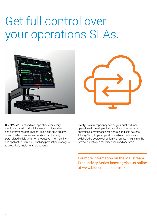## Get full control over your operations SLAs.





DirectView™: Print and mail operations can easily monitor workcell productivity to obtain critical data and performance information. This helps drive greater operational efficiencies and workcell productivity. Data related to idle time, non-productive time, machine and application is tracked, enabling production managers to proactively implement adjustments.

Clarity: Gain transparency across your print and mail operation with intelligent insight to help drive maximum operational performance, efficiencies and cost savings. Adding Clarity to your operation enables predictive and collaborative course correction with greater insight into the interaction between machines, jobs and operators.

For more information on the Mailstream Productivity Series inserter, visit us online at www.bluecrestinc.com/uk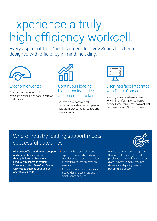# Experience a truly high efficiency workcell.

Every aspect of the Mailstream Productivity Series has been designed with efficiency in mind including:



Ergonomic workcell

The compact, ergonomic, high efficiency design helps boost operator productivity.



#### Continuous loading high capacity feeders and on-edge stacker

Achieve greater operational performance and increased operator yield via improved input, feeders and error recovery.



### User Interface integrated with Direct Connect

In a single view, you have access to real-time information to monitor workcell productivity, maintain optimal performance and SLA attainment.

### Where industry-leading support meets successful outcomes



BlueCrest offers world-class support and comprehensive services that optimise your Mailstream Productivity inserting system. You can count on BlueCrest Global Services to address your unique operational needs.

- Leverage the proven skills and expertise of our dedicated global team for best-in-class installation, integration and implementation services.
- Achieve optimal performance with industry leading technical and maintenance support.
- Ensure maximum system uptime through real-time insights and predictive analytics that enable our global experts to make informed decisions and quickly resolve performance issues.